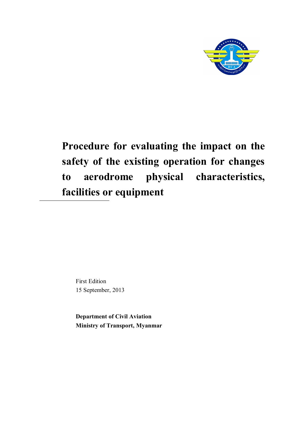

First Edition 15 September, 2013

**Department of Civil Aviation Ministry of Transport, Myanmar**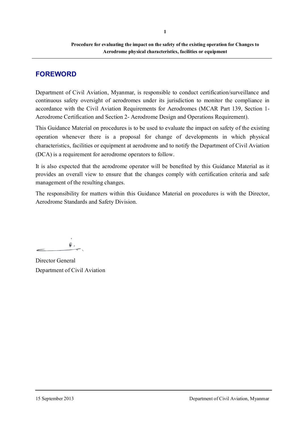# **FOREWORD**

Department of Civil Aviation, Myanmar, is responsible to conduct certification/surveillance and continuous safety oversight of aerodromes under its jurisdiction to monitor the compliance in accordance with the Civil Aviation Requirements for Aerodromes (MCAR Part 139, Section 1- Aerodrome Certification and Section 2- Aerodrome Design and Operations Requirement).

This Guidance Material on procedures is to be used to evaluate the impact on safety of the existing operation whenever there is a proposal for change of developments in which physical characteristics, facilities or equipment at aerodrome and to notify the Department of Civil Aviation (DCA) is a requirement for aerodrome operators to follow.

It is also expected that the aerodrome operator will be benefited by this Guidance Material as it provides an overall view to ensure that the changes comply with certification criteria and safe management of the resulting changes.

The responsibility for matters within this Guidance Material on procedures is with the Director, Aerodrome Standards and Safety Division.

 $\mathbin{\widehat{\otimes}}$  .

Director General Department of Civil Aviation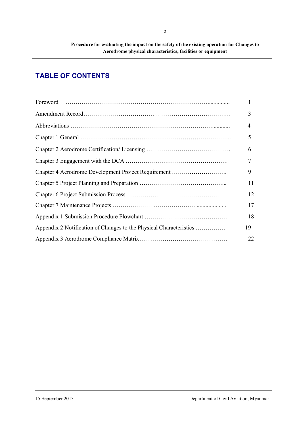# **TABLE OF CONTENTS**

|                                                                    | 1  |
|--------------------------------------------------------------------|----|
|                                                                    | 3  |
|                                                                    | 4  |
|                                                                    | 5  |
|                                                                    | 6  |
|                                                                    | 7  |
| Chapter 4 Aerodrome Development Project Requirement                | 9  |
|                                                                    | 11 |
|                                                                    | 12 |
|                                                                    | 17 |
|                                                                    | 18 |
| Appendix 2 Notification of Changes to the Physical Characteristics | 19 |
|                                                                    | 22 |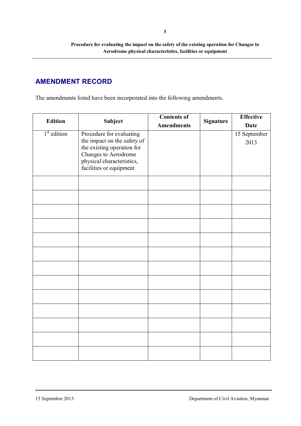# **AMENDMENT RECORD**

The amendments listed have been incorporated into the following amendments.

| <b>Edition</b> | Subject                                                                               | <b>Contents of</b> | <b>Signature</b> | <b>Effective</b>     |
|----------------|---------------------------------------------------------------------------------------|--------------------|------------------|----------------------|
|                |                                                                                       | <b>Amendments</b>  |                  | <b>Date</b>          |
| $1st$ edition  | Procedure for evaluating<br>the impact on the safety of<br>the existing operation for |                    |                  | 15 September<br>2013 |
|                | Changes to Aerodrome<br>physical characteristics,<br>facilities or equipment          |                    |                  |                      |
|                |                                                                                       |                    |                  |                      |
|                |                                                                                       |                    |                  |                      |
|                |                                                                                       |                    |                  |                      |
|                |                                                                                       |                    |                  |                      |
|                |                                                                                       |                    |                  |                      |
|                |                                                                                       |                    |                  |                      |
|                |                                                                                       |                    |                  |                      |
|                |                                                                                       |                    |                  |                      |
|                |                                                                                       |                    |                  |                      |
|                |                                                                                       |                    |                  |                      |
|                |                                                                                       |                    |                  |                      |
|                |                                                                                       |                    |                  |                      |
|                |                                                                                       |                    |                  |                      |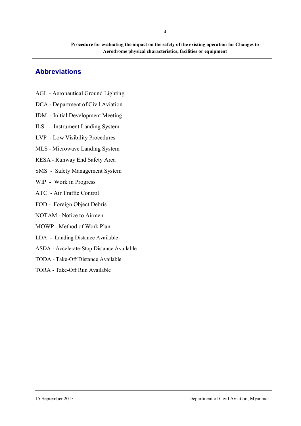# **Abbreviations**

- AGL Aeronautical Ground Lighting
- DCA Department of Civil Aviation
- IDM Initial Development Meeting
- ILS Instrument Landing System
- LVP Low Visibility Procedures
- MLS Microwave Landing System
- RESA Runway End Safety Area
- SMS Safety Management System
- WIP Work in Progress
- ATC Air Traffic Control
- FOD Foreign Object Debris
- NOTAM Notice to Airmen
- MOWP Method of Work Plan
- LDA Landing Distance Available
- ASDA Accelerate-Stop Distance Available
- TODA Take-Off Distance Available
- TORA Take-Off Run Available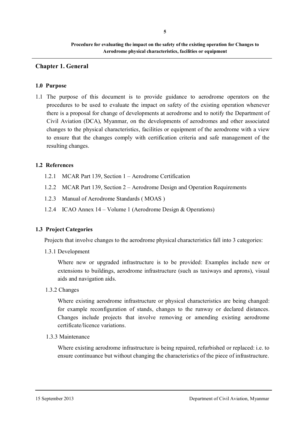#### **Chapter 1. General**

#### **1.0 Purpose**

1.1 The purpose of this document is to provide guidance to aerodrome operators on the procedures to be used to evaluate the impact on safety of the existing operation whenever there is a proposal for change of developments at aerodrome and to notify the Department of Civil Aviation (DCA), Myanmar, on the developments of aerodromes and other associated changes to the physical characteristics, facilities or equipment of the aerodrome with a view to ensure that the changes comply with certification criteria and safe management of the resulting changes.

#### **1.2 References**

- 1.2.1 MCAR Part 139, Section 1 Aerodrome Certification
- 1.2.2 MCAR Part 139, Section 2 Aerodrome Design and Operation Requirements
- 1.2.3 Manual of Aerodrome Standards ( MOAS )
- 1.2.4 ICAO Annex 14 Volume 1 (Aerodrome Design & Operations)

#### **1.3 Project Categories**

Projects that involve changes to the aerodrome physical characteristics fall into 3 categories:

1.3.1 Development

Where new or upgraded infrastructure is to be provided: Examples include new or extensions to buildings, aerodrome infrastructure (such as taxiways and aprons), visual aids and navigation aids.

1.3.2 Changes

Where existing aerodrome infrastructure or physical characteristics are being changed: for example reconfiguration of stands, changes to the runway or declared distances. Changes include projects that involve removing or amending existing aerodrome certificate/licence variations.

1.3.3 Maintenance

Where existing aerodrome infrastructure is being repaired, refurbished or replaced: i.e. to ensure continuance but without changing the characteristics of the piece of infrastructure.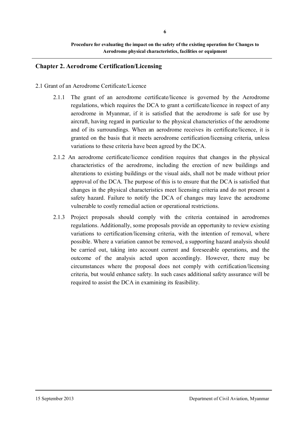## **Chapter 2. Aerodrome Certification/Licensing**

#### 2.1 Grant of an Aerodrome Certificate/Licence

- 2.1.1 The grant of an aerodrome certificate/licence is governed by the Aerodrome regulations, which requires the DCA to grant a certificate/licence in respect of any aerodrome in Myanmar, if it is satisfied that the aerodrome is safe for use by aircraft, having regard in particular to the physical characteristics of the aerodrome and of its surroundings. When an aerodrome receives its certificate/licence, it is granted on the basis that it meets aerodrome certification/licensing criteria, unless variations to these criteria have been agreed by the DCA.
- 2.1.2 An aerodrome certificate/licence condition requires that changes in the physical characteristics of the aerodrome, including the erection of new buildings and alterations to existing buildings or the visual aids, shall not be made without prior approval of the DCA. The purpose of this is to ensure that the DCA is satisfied that changes in the physical characteristics meet licensing criteria and do not present a safety hazard. Failure to notify the DCA of changes may leave the aerodrome vulnerable to costly remedial action or operational restrictions.
- 2.1.3 Project proposals should comply with the criteria contained in aerodromes regulations. Additionally, some proposals provide an opportunity to review existing variations to certification/licensing criteria, with the intention of removal, where possible. Where a variation cannot be removed, a supporting hazard analysis should be carried out, taking into account current and foreseeable operations, and the outcome of the analysis acted upon accordingly. However, there may be circumstances where the proposal does not comply with certification/licensing criteria, but would enhance safety. In such cases additional safety assurance will be required to assist the DCA in examining its feasibility.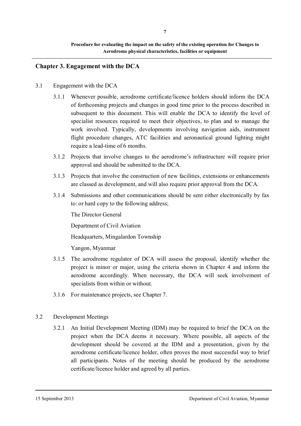# **Chapter 3. Engagement with the DCA**

- 3.1 Engagement with the DCA
	- 3.1.1 Whenever possible, aerodrome certificate/licence holders should inform the DCA of forthcoming projects and changes in good time prior to the process described in subsequent to this document. This will enable the DCA to identify the level of specialist resources required to meet their objectives, to plan and to manage the work involved. Typically, developments involving navigation aids, instrument flight procedure changes, ATC facilities and aeronautical ground lighting might require a lead-time of 6 months.
	- 3.1.2 Projects that involve changes to the aerodrome's infrastructure will require prior approval and should be submitted to the DCA.
	- 3.1.3 Projects that involve the construction of new facilities, extensions or enhancements are classed as development, and will also require prior approval from the DCA.
	- 3.1.4 Submissions and other communications should be sent either electronically by fax to: or hard copy to the following address;

The Director General

Department of Civil Aviation

Headquarters, Mingalardon Township

Yangon, Myanmar

- 3.1.5 The aerodrome regulator of DCA will assess the proposal, identify whether the project is minor or major, using the criteria shown in Chapter 4 and inform the aerodrome accordingly. When necessary, the DCA will seek involvement of specialists from within or without.
- 3.1.6 For maintenance projects, see Chapter 7.
- 3.2 Development Meetings
	- 3.2.1 An Initial Development Meeting (IDM) may be required to brief the DCA on the project when the DCA deems it necessary. Where possible, all aspects of the development should be covered at the IDM and a presentation, given by the aerodrome certificate/licence holder, often proves the most successful way to brief all participants. Notes of the meeting should be produced by the aerodrome certificate/licence holder and agreed by all parties.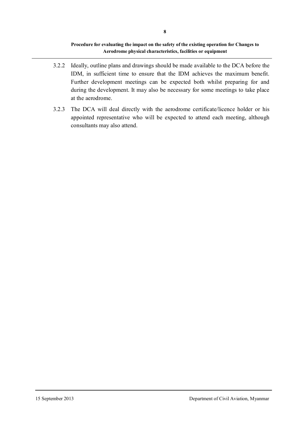- 3.2.2 Ideally, outline plans and drawings should be made available to the DCA before the IDM, in sufficient time to ensure that the IDM achieves the maximum benefit. Further development meetings can be expected both whilst preparing for and during the development. It may also be necessary for some meetings to take place at the aerodrome.
- 3.2.3 The DCA will deal directly with the aerodrome certificate/licence holder or his appointed representative who will be expected to attend each meeting, although consultants may also attend.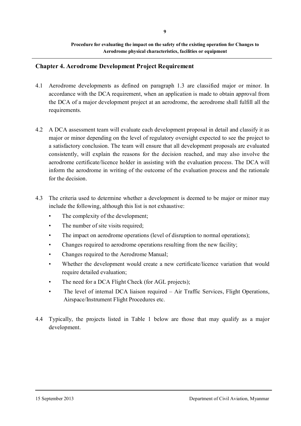#### **Chapter 4. Aerodrome Development Project Requirement**

- 4.1 Aerodrome developments as defined on paragraph 1.3 are classified major or minor. In accordance with the DCA requirement, when an application is made to obtain approval from the DCA of a major development project at an aerodrome, the aerodrome shall fulfill all the requirements.
- 4.2 A DCA assessment team will evaluate each development proposal in detail and classify it as major or minor depending on the level of regulatory oversight expected to see the project to a satisfactory conclusion. The team will ensure that all development proposals are evaluated consistently, will explain the reasons for the decision reached, and may also involve the aerodrome certificate/licence holder in assisting with the evaluation process. The DCA will inform the aerodrome in writing of the outcome of the evaluation process and the rationale for the decision.
- 4.3 The criteria used to determine whether a development is deemed to be major or minor may include the following, although this list is not exhaustive:
	- The complexity of the development;
	- The number of site visits required;
	- The impact on aerodrome operations (level of disruption to normal operations);
	- Changes required to aerodrome operations resulting from the new facility;
	- Changes required to the Aerodrome Manual;
	- Whether the development would create a new certificate/licence variation that would require detailed evaluation;
	- The need for a DCA Flight Check (for AGL projects);
	- The level of internal DCA liaison required Air Traffic Services, Flight Operations, Airspace/Instrument Flight Procedures etc.
- 4.4 Typically, the projects listed in Table 1 below are those that may qualify as a major development.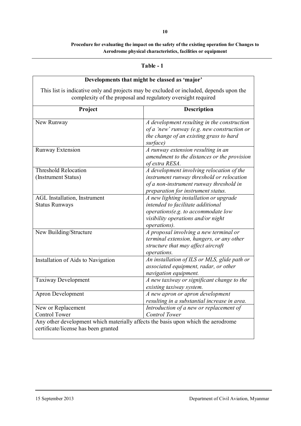| 'a ble |  |
|--------|--|
|--------|--|

| Developments that might be classed as 'major'                                                                                                           |                                                                                                                                                                                 |  |  |
|---------------------------------------------------------------------------------------------------------------------------------------------------------|---------------------------------------------------------------------------------------------------------------------------------------------------------------------------------|--|--|
| This list is indicative only and projects may be excluded or included, depends upon the<br>complexity of the proposal and regulatory oversight required |                                                                                                                                                                                 |  |  |
| Project<br><b>Description</b>                                                                                                                           |                                                                                                                                                                                 |  |  |
| New Runway                                                                                                                                              | A development resulting in the construction<br>of a 'new' runway (e.g. new construction or<br>the change of an existing grass to hard<br>surface)                               |  |  |
| <b>Runway Extension</b>                                                                                                                                 | A runway extension resulting in an<br>amendment to the distances or the provision<br>of extra RESA.                                                                             |  |  |
| <b>Threshold Relocation</b><br>(Instrument Status)                                                                                                      | A development involving relocation of the<br>instrument runway threshold or relocation<br>of a non-instrument runway threshold in<br>preparation for instrument status.         |  |  |
| AGL Installation, Instrument<br><b>Status Runways</b>                                                                                                   | A new lighting installation or upgrade<br>intended to facilitate additional<br>operations(e.g. to accommodate low<br>visibility operations and/or night<br><i>operations</i> ). |  |  |
| New Building/Structure                                                                                                                                  | A proposal involving a new terminal or<br>terminal extension, hangers, or any other<br>structure that may affect aircraft<br>operations.                                        |  |  |
| Installation of Aids to Navigation                                                                                                                      | An installation of ILS or MLS, glide path or<br>associated equipment, radar, or other<br>navigation equipment.                                                                  |  |  |
| Taxiway Development                                                                                                                                     | A new taxiway or significant change to the<br>existing taxiway system.                                                                                                          |  |  |
| Apron Development                                                                                                                                       | A new apron or apron development<br>resulting in a substantial increase in area.                                                                                                |  |  |
| New or Replacement<br><b>Control Tower</b>                                                                                                              | Introduction of a new or replacement of<br><b>Control Tower</b>                                                                                                                 |  |  |
| Any other development which materially affects the basis upon which the aerodrome<br>certificate/license has been granted                               |                                                                                                                                                                                 |  |  |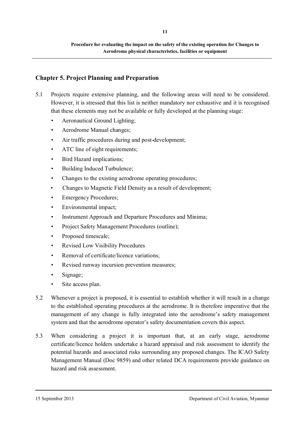# **Chapter 5. Project Planning and Preparation**

- 5.1 Projects require extensive planning, and the following areas will need to be considered. However, it is stressed that this list is neither mandatory nor exhaustive and it is recognised that these elements may not be available or fully developed at the planning stage:
	- Aeronautical Ground Lighting;
	- Aerodrome Manual changes;
	- Air traffic procedures during and post-development;
	- ATC line of sight requirements;
	- Bird Hazard implications;
	- Building Induced Turbulence;
	- Changes to the existing aerodrome operating procedures;
	- Changes to Magnetic Field Density as a result of development;
	- **Emergency Procedures:**
	- Environmental impact;
	- Instrument Approach and Departure Procedures and Minima;
	- Project Safety Management Procedures (outline);
	- Proposed timescale;
	- Revised Low Visibility Procedures
	- Removal of certificate/licence variations:
	- Revised runway incursion prevention measures;
	- Signage;
	- Site access plan.
- 5.2 Whenever a project is proposed, it is essential to establish whether it will result in a change to the established operating procedures at the aerodrome. It is therefore imperative that the management of any change is fully integrated into the aerodrome's safety management system and that the aerodrome operator's safety documentation covers this aspect.
- 5.3 When considering a project it is important that, at an early stage, aerodrome certificate/licence holders undertake a hazard appraisal and risk assessment to identify the potential hazards and associated risks surrounding any proposed changes. The ICAO Safety Management Manual (Doc 9859) and other related DCA requirements provide guidance on hazard and risk assessment.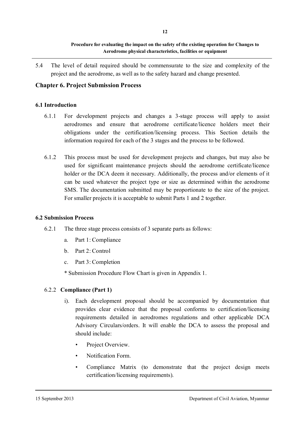5.4 The level of detail required should be commensurate to the size and complexity of the project and the aerodrome, as well as to the safety hazard and change presented.

# **Chapter 6. Project Submission Process**

## **6.1 Introduction**

- 6.1.1 For development projects and changes a 3-stage process will apply to assist aerodromes and ensure that aerodrome certificate/licence holders meet their obligations under the certification/licensing process. This Section details the information required for each of the 3 stages and the process to be followed.
- 6.1.2 This process must be used for development projects and changes, but may also be used for significant maintenance projects should the aerodrome certificate/licence holder or the DCA deem it necessary. Additionally, the process and/or elements of it can be used whatever the project type or size as determined within the aerodrome SMS. The documentation submitted may be proportionate to the size of the project. For smaller projects it is acceptable to submit Parts 1 and 2 together.

#### **6.2 Submission Process**

- 6.2.1 The three stage process consists of 3 separate parts as follows:
	- a. Part 1: Compliance
	- b. Part 2: Control
	- c. Part 3: Completion

\* Submission Procedure Flow Chart is given in Appendix 1.

# 6.2.2 **Compliance (Part 1)**

- i). Each development proposal should be accompanied by documentation that provides clear evidence that the proposal conforms to certification/licensing requirements detailed in aerodromes regulations and other applicable DCA Advisory Circulars/orders. It will enable the DCA to assess the proposal and should include:
	- Project Overview.
	- Notification Form.
	- Compliance Matrix (to demonstrate that the project design meets certification/licensing requirements).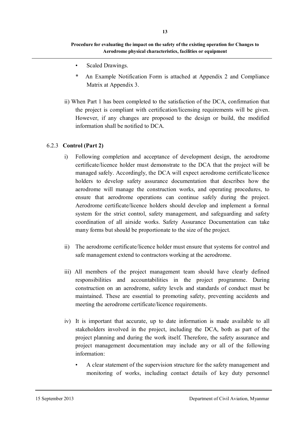- Scaled Drawings.
- \* An Example Notification Form is attached at Appendix 2 and Compliance Matrix at Appendix 3.
- ii) When Part 1 has been completed to the satisfaction of the DCA, confirmation that the project is compliant with certification/licensing requirements will be given. However, if any changes are proposed to the design or build, the modified information shall be notified to DCA.

#### 6.2.3 **Control (Part 2)**

- i) Following completion and acceptance of development design, the aerodrome certificate/licence holder must demonstrate to the DCA that the project will be managed safely. Accordingly, the DCA will expect aerodrome certificate/licence holders to develop safety assurance documentation that describes how the aerodrome will manage the construction works, and operating procedures, to ensure that aerodrome operations can continue safely during the project. Aerodrome certificate/licence holders should develop and implement a formal system for the strict control, safety management, and safeguarding and safety coordination of all airside works. Safety Assurance Documentation can take many forms but should be proportionate to the size of the project.
- ii) The aerodrome certificate/licence holder must ensure that systems for control and safe management extend to contractors working at the aerodrome.
- iii) All members of the project management team should have clearly defined responsibilities and accountabilities in the project programme. During construction on an aerodrome, safety levels and standards of conduct must be maintained. These are essential to promoting safety, preventing accidents and meeting the aerodrome certificate/licence requirements.
- iv) It is important that accurate, up to date information is made available to all stakeholders involved in the project, including the DCA, both as part of the project planning and during the work itself. Therefore, the safety assurance and project management documentation may include any or all of the following information:
	- A clear statement of the supervision structure for the safety management and monitoring of works, including contact details of key duty personnel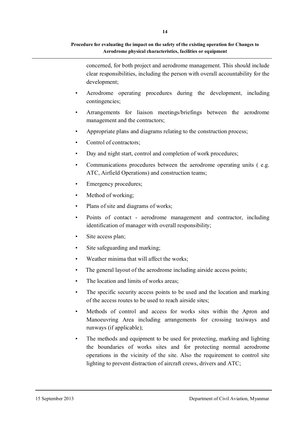concerned, for both project and aerodrome management. This should include clear responsibilities, including the person with overall accountability for the development;

- Aerodrome operating procedures during the development, including contingencies;
- Arrangements for liaison meetings/briefings between the aerodrome management and the contractors;
- Appropriate plans and diagrams relating to the construction process;
- Control of contractors;
- Day and night start, control and completion of work procedures;
- Communications procedures between the aerodrome operating units (e.g. ATC, Airfield Operations) and construction teams;
- Emergency procedures;
- Method of working;
- Plans of site and diagrams of works;
- Points of contact aerodrome management and contractor, including identification of manager with overall responsibility;
- Site access plan;
- Site safeguarding and marking:
- Weather minima that will affect the works;
- The general layout of the aerodrome including airside access points;
- The location and limits of works areas:
- The specific security access points to be used and the location and marking of the access routes to be used to reach airside sites;
- Methods of control and access for works sites within the Apron and Manoeuvring Area including arrangements for crossing taxiways and runways (if applicable);
- The methods and equipment to be used for protecting, marking and lighting the boundaries of works sites and for protecting normal aerodrome operations in the vicinity of the site. Also the requirement to control site lighting to prevent distraction of aircraft crews, drivers and ATC;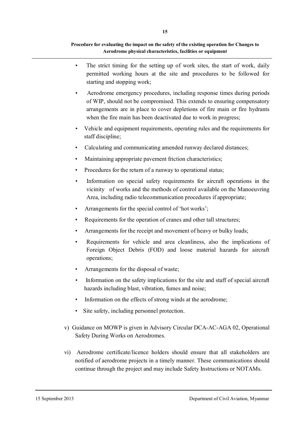**15**

#### **Procedure for evaluating the impact on the safety of the existing operation for Changes to Aerodrome physical characteristics, facilities or equipment**

- The strict timing for the setting up of work sites, the start of work, daily permitted working hours at the site and procedures to be followed for starting and stopping work;
- Aerodrome emergency procedures, including response times during periods of WIP, should not be compromised. This extends to ensuring compensatory arrangements are in place to cover depletions of fire main or fire hydrants when the fire main has been deactivated due to work in progress:
- Vehicle and equipment requirements, operating rules and the requirements for staff discipline;
- Calculating and communicating amended runway declared distances;
- Maintaining appropriate pavement friction characteristics;
- Procedures for the return of a runway to operational status;
- Information on special safety requirements for aircraft operations in the vicinity of works and the methods of control available on the Manoeuvring Area, including radio telecommunication procedures if appropriate;
- Arrangements for the special control of 'hot works';
- Requirements for the operation of cranes and other tall structures;
- Arrangements for the receipt and movement of heavy or bulky loads;
- Requirements for vehicle and area cleanliness, also the implications of Foreign Object Debris (FOD) and loose material hazards for aircraft operations;
- Arrangements for the disposal of waste;
- Information on the safety implications for the site and staff of special aircraft hazards including blast, vibration, fumes and noise;
- Information on the effects of strong winds at the aerodrome;
- Site safety, including personnel protection.
- v) Guidance on MOWP is given in Advisory Circular DCA-AC-AGA 02, Operational Safety During Works on Aerodromes.
- vi) Aerodrome certificate/licence holders should ensure that all stakeholders are notified of aerodrome projects in a timely manner. These communications should continue through the project and may include Safety Instructions or NOTAMs.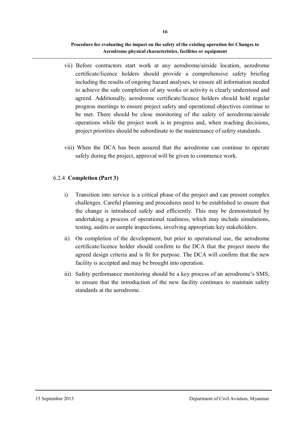- vii) Before contractors start work at any aerodrome/airside location, aerodrome certificate/licence holders should provide a comprehensive safety briefing including the results of ongoing hazard analyses, to ensure all information needed to achieve the safe completion of any works or activity is clearly understood and agreed. Additionally, aerodrome certificate/licence holders should hold regular progress meetings to ensure project safety and operational objectives continue to be met. There should be close monitoring of the safety of aerodrome/airside operations while the project work is in progress and, when reaching decisions, project priorities should be subordinate to the maintenance of safety standards.
- viii) When the DCA has been assured that the aerodrome can continue to operate safely during the project, approval will be given to commence work.

# 6.2.4 **Completion (Part 3)**

- i) Transition into service is a critical phase of the project and can present complex challenges. Careful planning and procedures need to be established to ensure that the change is introduced safely and efficiently. This may be demonstrated by undertaking a process of operational readiness, which may include simulations, testing, audits or sample inspections, involving appropriate key stakeholders.
- ii) On completion of the development, but prior to operational use, the aerodrome certificate/licence holder should confirm to the DCA that the project meets the agreed design criteria and is fit for purpose. The DCA will confirm that the new facility is accepted and may be brought into operation.
- iii) Safety performance monitoring should be a key process of an aerodrome's SMS, to ensure that the introduction of the new facility continues to maintain safety standards at the aerodrome.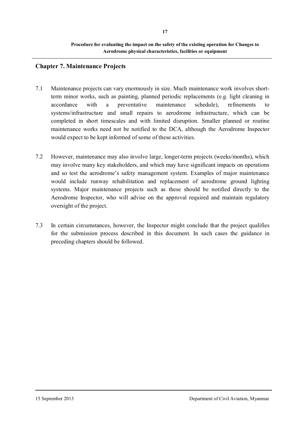**Procedure for evaluating the impact on the safety of the existing operation for Changes to Aerodrome physical characteristics, facilities or equipment**

# **Chapter 7. Maintenance Projects**

- 7.1 Maintenance projects can vary enormously in size. Much maintenance work involves shortterm minor works, such as painting, planned periodic replacements (e.g. light cleaning in accordance with a preventative maintenance schedule), refinements to systems/infrastructure and small repairs to aerodrome infrastructure, which can be completed in short timescales and with limited disruption. Smaller planned or routine maintenance works need not be notified to the DCA, although the Aerodrome Inspector would expect to be kept informed of some of these activities.
- 7.2 However, maintenance may also involve large, longer-term projects (weeks/months), which may involve many key stakeholders, and which may have significant impacts on operations and so test the aerodrome's safety management system. Examples of major maintenance would include runway rehabilitation and replacement of aerodrome ground lighting systems. Major maintenance projects such as these should be notified directly to the Aerodrome Inspector, who will advise on the approval required and maintain regulatory oversight of the project.
- 7.3 In certain circumstances, however, the Inspector might conclude that the project qualifies for the submission process described in this document. In such cases the guidance in preceding chapters should be followed.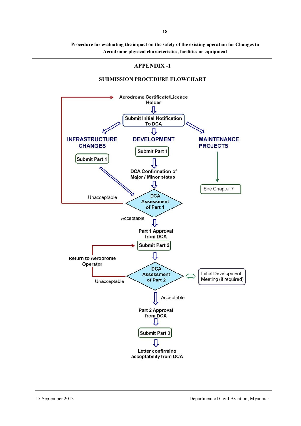#### **APPENDIX -1**

#### Aerodrome Certificate/Licence Holder л **Submit Initial Notification To DCA** 几 **INFRASTRUCTURE DEVELOPMENT MAINTENANCE CHANGES PROJECTS Submit Part 1 Submit Part 1 DCA Confirmation of Major / Minor status** Л See Chapter 7 **DCA** Unacceptable **Assessment** of Part 1 Acceptable Л Part 1 Approval from DCA **Submit Part 2** IJ **Return to Aerodrome** Operator **DCA Initial Development Assessment** Meeting (if required) of Part 2 Unacceptable Acceptable Part 2 Approval from DCA ⇩ **Submit Part 3** IJ Letter confirming acceptability from DCA

#### **SUBMISSION PROCEDURE FLOWCHART**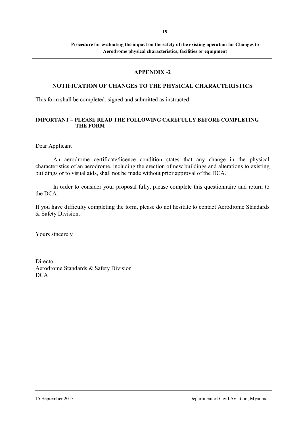#### **APPENDIX -2**

# **NOTIFICATION OF CHANGES TO THE PHYSICAL CHARACTERISTICS**

This form shall be completed, signed and submitted as instructed.

#### **IMPORTANT – PLEASE READ THE FOLLOWING CAREFULLY BEFORE COMPLETING THE FORM**

Dear Applicant

An aerodrome certificate/licence condition states that any change in the physical characteristics of an aerodrome, including the erection of new buildings and alterations to existing buildings or to visual aids, shall not be made without prior approval of the DCA.

In order to consider your proposal fully, please complete this questionnaire and return to the DCA.

If you have difficulty completing the form, please do not hesitate to contact Aerodrome Standards & Safety Division.

Yours sincerely

**Director** Aerodrome Standards & Safety Division DCA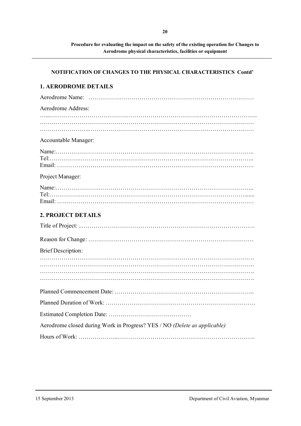#### **NOTIFICATION OF CHANGES TO THE PHYSICAL CHARACTERISTICS Contd'**

# **1. AERODROME DETAILS**  Aerodrome Name: ………………………………………………………………………… Aerodrome Address: ………………………………………………………………………………………….…… …………………….………………………………………………………………………… Accountable Manager: Name:……………………………………………………………………………………….. Tel:………………………………………………………………………………………….. Email: ………………………………………………………………………………………. Project Manager: Name:……………………………………………………………………………………….. Tel:………………………………………………………………………………………....... Email: ………………………………………………………………………………………. **2. PROJECT DETAILS** Title of Project: ..……………………………………………………………………………. Reason for Change: ………………………………………………………………………… Brief Description: ………………………………………………………………………………………………. ………………………………………………………………………………………………. ………………………………………………………………………………………………. Planned Commencement Date: …………………………………………………………….. Planned Duration of Work: …………………………………………………………………. Estimated Completion Date: ……………………………………

Aerodrome closed during Work in Progress? YES / NO *(Delete as applicable)* 

Hours of Work: ………………..…………………………………………………………….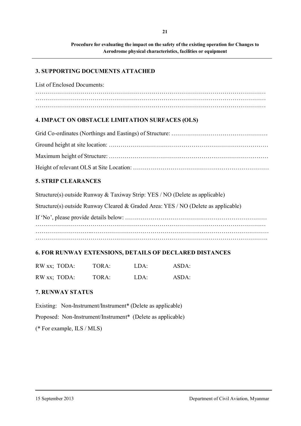#### **3. SUPPORTING DOCUMENTS ATTACHED**

List of Enclosed Documents:

……………………………………………………………………………………………………… ………………………………………………………………………………………………………

# **4. IMPACT ON OBSTACLE LIMITATION SURFACES (OLS)**

# **5. STRIP CLEARANCES**

Structure(s) outside Runway & Taxiway Strip: YES / NO (Delete as applicable)

Structure(s) outside Runway Cleared & Graded Area: YES / NO (Delete as applicable)

If 'No', please provide details below: ……………………………………………………………… ……………………………………………………………………………………………………… ……………………………………………………………………………………………………….

# **6. FOR RUNWAY EXTENSIONS, DETAILS OF DECLARED DISTANCES**

| RW xx; TODA: | TORA: | LDA: | ASDA: |
|--------------|-------|------|-------|
| RW xx; TODA: | TORA: | LDA: | ASDA: |

# **7. RUNWAY STATUS**

Existing: Non-Instrument/Instrument\* (Delete as applicable) Proposed: Non-Instrument/Instrument\* (Delete as applicable) (\* For example, ILS / MLS)